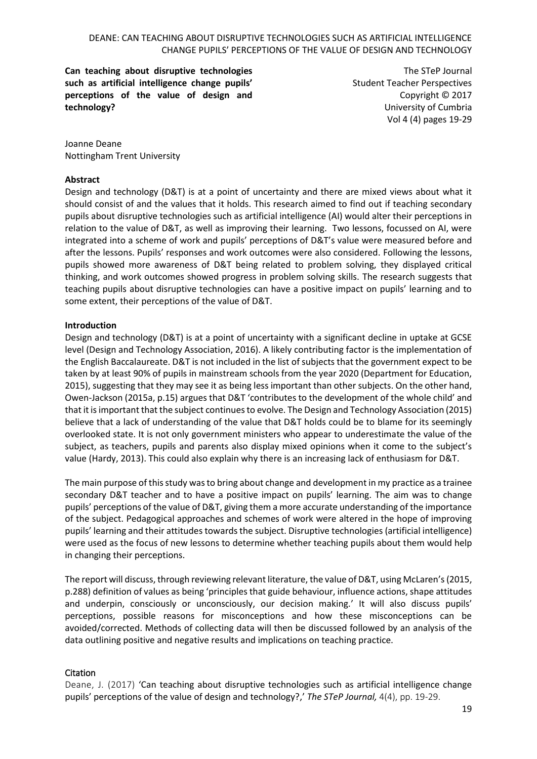**Can teaching about disruptive technologies such as artificial intelligence change pupils' perceptions of the value of design and technology?**

The STeP Journal Student Teacher Perspectives Copyright © 2017 University of Cumbria Vol 4 (4) pages 19-29

Joanne Deane Nottingham Trent University

## **Abstract**

Design and technology (D&T) is at a point of uncertainty and there are mixed views about what it should consist of and the values that it holds. This research aimed to find out if teaching secondary pupils about disruptive technologies such as artificial intelligence (AI) would alter their perceptions in relation to the value of D&T, as well as improving their learning. Two lessons, focussed on AI, were integrated into a scheme of work and pupils' perceptions of D&T's value were measured before and after the lessons. Pupils' responses and work outcomes were also considered. Following the lessons, pupils showed more awareness of D&T being related to problem solving, they displayed critical thinking, and work outcomes showed progress in problem solving skills. The research suggests that teaching pupils about disruptive technologies can have a positive impact on pupils' learning and to some extent, their perceptions of the value of D&T.

# **Introduction**

Design and technology (D&T) is at a point of uncertainty with a significant decline in uptake at GCSE level (Design and Technology Association, 2016). A likely contributing factor is the implementation of the English Baccalaureate. D&T is not included in the list of subjects that the government expect to be taken by at least 90% of pupils in mainstream schools from the year 2020 (Department for Education, 2015), suggesting that they may see it as being less important than other subjects. On the other hand, Owen-Jackson (2015a, p.15) argues that D&T 'contributes to the development of the whole child' and that it isimportant that the subject continues to evolve. The Design and Technology Association (2015) believe that a lack of understanding of the value that D&T holds could be to blame for its seemingly overlooked state. It is not only government ministers who appear to underestimate the value of the subject, as teachers, pupils and parents also display mixed opinions when it come to the subject's value (Hardy, 2013). This could also explain why there is an increasing lack of enthusiasm for D&T.

The main purpose of this study was to bring about change and development in my practice as a trainee secondary D&T teacher and to have a positive impact on pupils' learning. The aim was to change pupils' perceptions of the value of D&T, giving them a more accurate understanding of the importance of the subject. Pedagogical approaches and schemes of work were altered in the hope of improving pupils' learning and their attitudes towards the subject. Disruptive technologies (artificial intelligence) were used as the focus of new lessons to determine whether teaching pupils about them would help in changing their perceptions.

The report will discuss, through reviewing relevant literature, the value of D&T, using McLaren's (2015, p.288) definition of values as being 'principles that guide behaviour, influence actions, shape attitudes and underpin, consciously or unconsciously, our decision making.' It will also discuss pupils' perceptions, possible reasons for misconceptions and how these misconceptions can be avoided/corrected. Methods of collecting data will then be discussed followed by an analysis of the data outlining positive and negative results and implications on teaching practice.

# Citation

Deane, J. (2017) 'Can teaching about disruptive technologies such as artificial intelligence change pupils' perceptions of the value of design and technology?,' *The STeP Journal,* 4(4), pp. 19-29.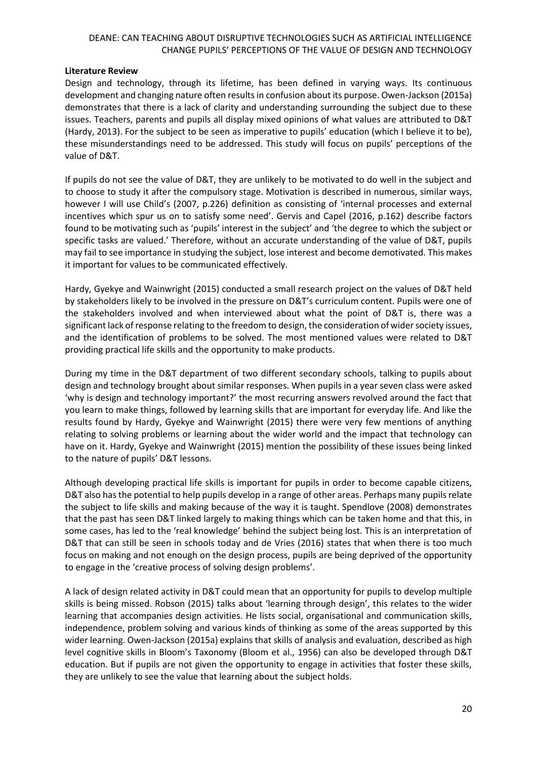### **Literature Review**

Design and technology, through its lifetime, has been defined in varying ways. Its continuous development and changing nature often results in confusion about its purpose. Owen-Jackson (2015a) demonstrates that there is a lack of clarity and understanding surrounding the subject due to these issues. Teachers, parents and pupils all display mixed opinions of what values are attributed to D&T (Hardy, 2013). For the subject to be seen as imperative to pupils' education (which I believe it to be), these misunderstandings need to be addressed. This study will focus on pupils' perceptions of the value of D&T.

If pupils do not see the value of D&T, they are unlikely to be motivated to do well in the subject and to choose to study it after the compulsory stage. Motivation is described in numerous, similar ways, however I will use Child's (2007, p.226) definition as consisting of 'internal processes and external incentives which spur us on to satisfy some need'. Gervis and Capel (2016, p.162) describe factors found to be motivating such as 'pupils' interest in the subject' and 'the degree to which the subject or specific tasks are valued.' Therefore, without an accurate understanding of the value of D&T, pupils may fail to see importance in studying the subject, lose interest and become demotivated. This makes it important for values to be communicated effectively.

Hardy, Gyekye and Wainwright (2015) conducted a small research project on the values of D&T held by stakeholders likely to be involved in the pressure on D&T's curriculum content. Pupils were one of the stakeholders involved and when interviewed about what the point of D&T is, there was a significant lack of response relating to the freedom to design, the consideration of wider society issues, and the identification of problems to be solved. The most mentioned values were related to D&T providing practical life skills and the opportunity to make products.

During my time in the D&T department of two different secondary schools, talking to pupils about design and technology brought about similar responses. When pupils in a year seven class were asked 'why is design and technology important?' the most recurring answers revolved around the fact that you learn to make things, followed by learning skills that are important for everyday life. And like the results found by Hardy, Gyekye and Wainwright (2015) there were very few mentions of anything relating to solving problems or learning about the wider world and the impact that technology can have on it. Hardy, Gyekye and Wainwright (2015) mention the possibility of these issues being linked to the nature of pupils' D&T lessons.

Although developing practical life skills is important for pupils in order to become capable citizens, D&T also has the potential to help pupils develop in a range of other areas. Perhaps many pupils relate the subject to life skills and making because of the way it is taught. Spendlove (2008) demonstrates that the past has seen D&T linked largely to making things which can be taken home and that this, in some cases, has led to the 'real knowledge' behind the subject being lost. This is an interpretation of D&T that can still be seen in schools today and de Vries (2016) states that when there is too much focus on making and not enough on the design process, pupils are being deprived of the opportunity to engage in the 'creative process of solving design problems'.

A lack of design related activity in D&T could mean that an opportunity for pupils to develop multiple skills is being missed. Robson (2015) talks about 'learning through design', this relates to the wider learning that accompanies design activities. He lists social, organisational and communication skills, independence, problem solving and various kinds of thinking as some of the areas supported by this wider learning. Owen-Jackson (2015a) explains that skills of analysis and evaluation, described as high level cognitive skills in Bloom's Taxonomy (Bloom et al., 1956) can also be developed through D&T education. But if pupils are not given the opportunity to engage in activities that foster these skills, they are unlikely to see the value that learning about the subject holds.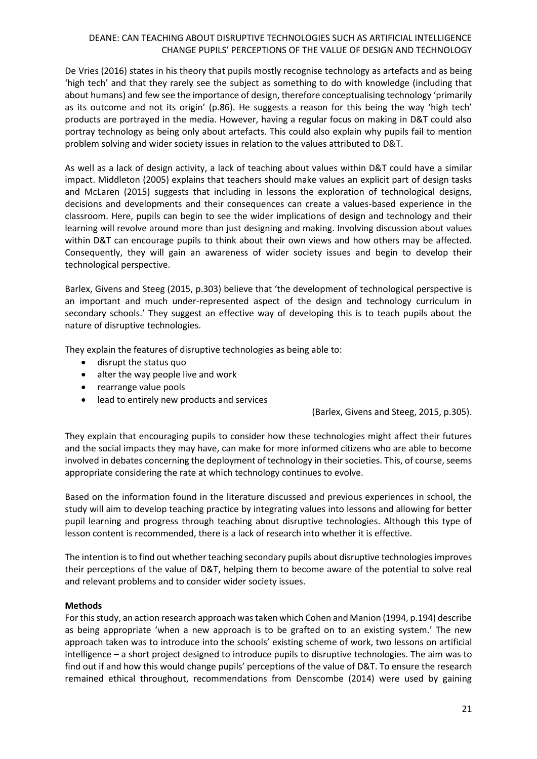De Vries (2016) states in his theory that pupils mostly recognise technology as artefacts and as being 'high tech' and that they rarely see the subject as something to do with knowledge (including that about humans) and few see the importance of design, therefore conceptualising technology 'primarily as its outcome and not its origin' (p.86). He suggests a reason for this being the way 'high tech' products are portrayed in the media. However, having a regular focus on making in D&T could also portray technology as being only about artefacts. This could also explain why pupils fail to mention problem solving and wider society issues in relation to the values attributed to D&T.

As well as a lack of design activity, a lack of teaching about values within D&T could have a similar impact. Middleton (2005) explains that teachers should make values an explicit part of design tasks and McLaren (2015) suggests that including in lessons the exploration of technological designs, decisions and developments and their consequences can create a values-based experience in the classroom. Here, pupils can begin to see the wider implications of design and technology and their learning will revolve around more than just designing and making. Involving discussion about values within D&T can encourage pupils to think about their own views and how others may be affected. Consequently, they will gain an awareness of wider society issues and begin to develop their technological perspective.

Barlex, Givens and Steeg (2015, p.303) believe that 'the development of technological perspective is an important and much under-represented aspect of the design and technology curriculum in secondary schools.' They suggest an effective way of developing this is to teach pupils about the nature of disruptive technologies.

They explain the features of disruptive technologies as being able to:

- disrupt the status quo
- alter the way people live and work
- rearrange value pools
- lead to entirely new products and services

(Barlex, Givens and Steeg, 2015, p.305).

They explain that encouraging pupils to consider how these technologies might affect their futures and the social impacts they may have, can make for more informed citizens who are able to become involved in debates concerning the deployment of technology in their societies. This, of course, seems appropriate considering the rate at which technology continues to evolve.

Based on the information found in the literature discussed and previous experiences in school, the study will aim to develop teaching practice by integrating values into lessons and allowing for better pupil learning and progress through teaching about disruptive technologies. Although this type of lesson content is recommended, there is a lack of research into whether it is effective.

The intention is to find out whether teaching secondary pupils about disruptive technologies improves their perceptions of the value of D&T, helping them to become aware of the potential to solve real and relevant problems and to consider wider society issues.

## **Methods**

For this study, an action research approach was taken which Cohen and Manion (1994, p.194) describe as being appropriate 'when a new approach is to be grafted on to an existing system.' The new approach taken was to introduce into the schools' existing scheme of work, two lessons on artificial intelligence – a short project designed to introduce pupils to disruptive technologies. The aim was to find out if and how this would change pupils' perceptions of the value of D&T. To ensure the research remained ethical throughout, recommendations from Denscombe (2014) were used by gaining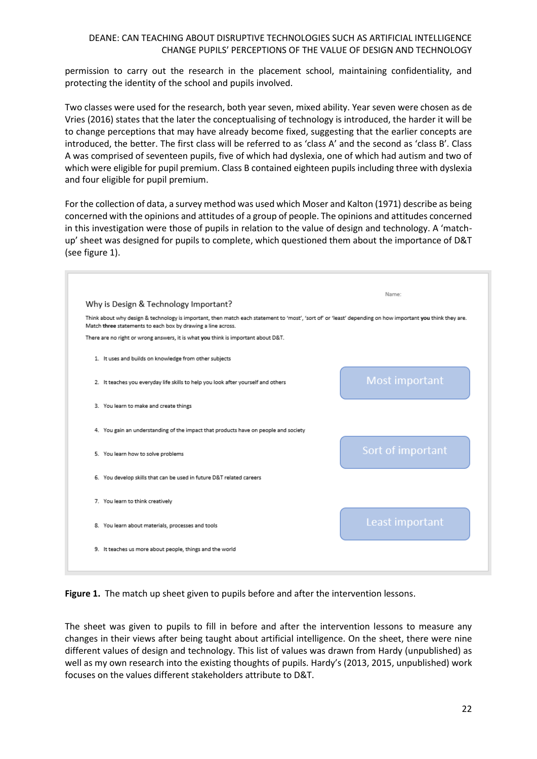permission to carry out the research in the placement school, maintaining confidentiality, and protecting the identity of the school and pupils involved.

Two classes were used for the research, both year seven, mixed ability. Year seven were chosen as de Vries (2016) states that the later the conceptualising of technology is introduced, the harder it will be to change perceptions that may have already become fixed, suggesting that the earlier concepts are introduced, the better. The first class will be referred to as 'class A' and the second as 'class B'. Class A was comprised of seventeen pupils, five of which had dyslexia, one of which had autism and two of which were eligible for pupil premium. Class B contained eighteen pupils including three with dyslexia and four eligible for pupil premium.

For the collection of data, a survey method was used which Moser and Kalton (1971) describe as being concerned with the opinions and attitudes of a group of people. The opinions and attitudes concerned in this investigation were those of pupils in relation to the value of design and technology. A 'matchup' sheet was designed for pupils to complete, which questioned them about the importance of D&T (see figure 1).

|                                                              |                                                                                     | Name:                                                                                                                                                      |
|--------------------------------------------------------------|-------------------------------------------------------------------------------------|------------------------------------------------------------------------------------------------------------------------------------------------------------|
| Why is Design & Technology Important?                        |                                                                                     |                                                                                                                                                            |
| Match three statements to each box by drawing a line across. |                                                                                     | Think about why design & technology is important, then match each statement to 'most', 'sort of' or 'least' depending on how important you think they are. |
|                                                              | There are no right or wrong answers, it is what you think is important about D&T.   |                                                                                                                                                            |
| 1. It uses and builds on knowledge from other subjects       |                                                                                     |                                                                                                                                                            |
|                                                              | 2. It teaches you everyday life skills to help you look after yourself and others   | Most important                                                                                                                                             |
| 3. You learn to make and create things                       |                                                                                     |                                                                                                                                                            |
|                                                              | 4. You gain an understanding of the impact that products have on people and society |                                                                                                                                                            |
| 5. You learn how to solve problems                           |                                                                                     | Sort of important                                                                                                                                          |
|                                                              | 6. You develop skills that can be used in future D&T related careers                |                                                                                                                                                            |
| 7. You learn to think creatively                             |                                                                                     |                                                                                                                                                            |
| 8. You learn about materials, processes and tools            |                                                                                     | Least important                                                                                                                                            |
|                                                              | 9. It teaches us more about people, things and the world                            |                                                                                                                                                            |

**Figure 1.** The match up sheet given to pupils before and after the intervention lessons.

The sheet was given to pupils to fill in before and after the intervention lessons to measure any changes in their views after being taught about artificial intelligence. On the sheet, there were nine different values of design and technology. This list of values was drawn from Hardy (unpublished) as well as my own research into the existing thoughts of pupils. Hardy's (2013, 2015, unpublished) work focuses on the values different stakeholders attribute to D&T.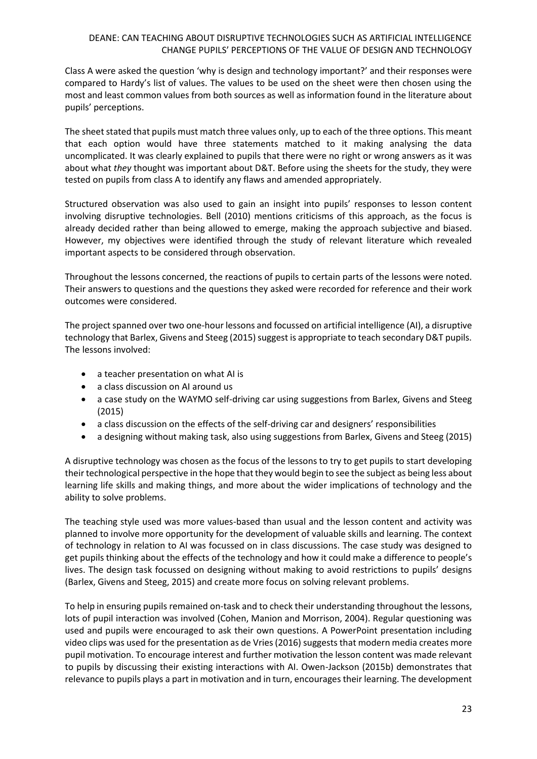Class A were asked the question 'why is design and technology important?' and their responses were compared to Hardy's list of values. The values to be used on the sheet were then chosen using the most and least common values from both sources as well as information found in the literature about pupils' perceptions.

The sheet stated that pupils must match three values only, up to each of the three options. This meant that each option would have three statements matched to it making analysing the data uncomplicated. It was clearly explained to pupils that there were no right or wrong answers as it was about what *they* thought was important about D&T. Before using the sheets for the study, they were tested on pupils from class A to identify any flaws and amended appropriately.

Structured observation was also used to gain an insight into pupils' responses to lesson content involving disruptive technologies. Bell (2010) mentions criticisms of this approach, as the focus is already decided rather than being allowed to emerge, making the approach subjective and biased. However, my objectives were identified through the study of relevant literature which revealed important aspects to be considered through observation.

Throughout the lessons concerned, the reactions of pupils to certain parts of the lessons were noted. Their answers to questions and the questions they asked were recorded for reference and their work outcomes were considered.

The project spanned over two one-hour lessons and focussed on artificial intelligence (AI), a disruptive technology that Barlex, Givens and Steeg (2015) suggest is appropriate to teach secondary D&T pupils. The lessons involved:

- a teacher presentation on what AI is
- a class discussion on AI around us
- a case study on the WAYMO self-driving car using suggestions from Barlex, Givens and Steeg (2015)
- a class discussion on the effects of the self-driving car and designers' responsibilities
- a designing without making task, also using suggestions from Barlex, Givens and Steeg (2015)

A disruptive technology was chosen as the focus of the lessons to try to get pupils to start developing their technological perspective in the hope that they would begin to see the subject as being less about learning life skills and making things, and more about the wider implications of technology and the ability to solve problems.

The teaching style used was more values-based than usual and the lesson content and activity was planned to involve more opportunity for the development of valuable skills and learning. The context of technology in relation to AI was focussed on in class discussions. The case study was designed to get pupils thinking about the effects of the technology and how it could make a difference to people's lives. The design task focussed on designing without making to avoid restrictions to pupils' designs (Barlex, Givens and Steeg, 2015) and create more focus on solving relevant problems.

To help in ensuring pupils remained on-task and to check their understanding throughout the lessons, lots of pupil interaction was involved (Cohen, Manion and Morrison, 2004). Regular questioning was used and pupils were encouraged to ask their own questions. A PowerPoint presentation including video clips was used for the presentation as de Vries (2016) suggests that modern media creates more pupil motivation. To encourage interest and further motivation the lesson content was made relevant to pupils by discussing their existing interactions with AI. Owen-Jackson (2015b) demonstrates that relevance to pupils plays a part in motivation and in turn, encourages their learning. The development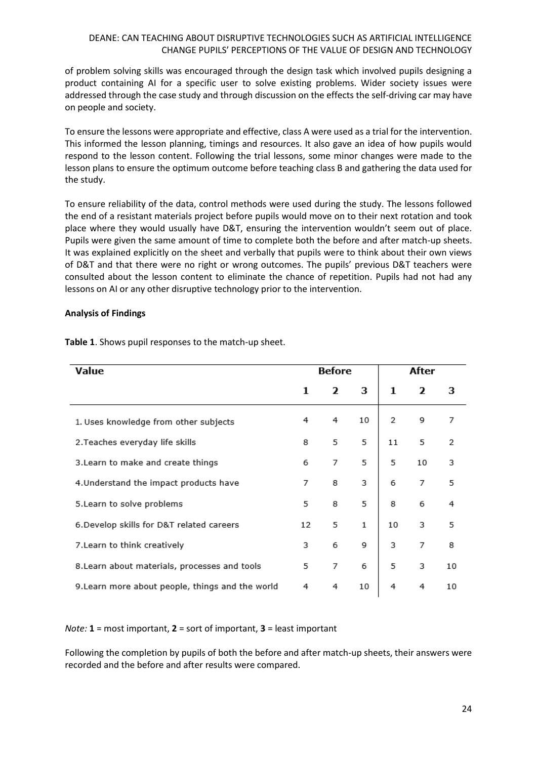of problem solving skills was encouraged through the design task which involved pupils designing a product containing AI for a specific user to solve existing problems. Wider society issues were addressed through the case study and through discussion on the effects the self-driving car may have on people and society.

To ensure the lessons were appropriate and effective, class A were used as a trial for the intervention. This informed the lesson planning, timings and resources. It also gave an idea of how pupils would respond to the lesson content. Following the trial lessons, some minor changes were made to the lesson plans to ensure the optimum outcome before teaching class B and gathering the data used for the study.

To ensure reliability of the data, control methods were used during the study. The lessons followed the end of a resistant materials project before pupils would move on to their next rotation and took place where they would usually have D&T, ensuring the intervention wouldn't seem out of place. Pupils were given the same amount of time to complete both the before and after match-up sheets. It was explained explicitly on the sheet and verbally that pupils were to think about their own views of D&T and that there were no right or wrong outcomes. The pupils' previous D&T teachers were consulted about the lesson content to eliminate the chance of repetition. Pupils had not had any lessons on AI or any other disruptive technology prior to the intervention.

#### **Analysis of Findings**

| Value                                            | Before |              |    | After |    |    |
|--------------------------------------------------|--------|--------------|----|-------|----|----|
|                                                  | 1      | $\mathbf{z}$ | 3  | 1     | 2  | з  |
| 1. Uses knowledge from other subjects            |        | 4            | 10 | 2     | 9  | 7  |
| 2. Teaches everyday life skills                  |        | 5            | 5  | 11    | 5  | 2  |
| 3. Learn to make and create things               |        | 7            | 5  | 5     | 10 | 3  |
| 4. Understand the impact products have           |        | 8            | 3  | 6     | 7  | 5  |
| 5. Learn to solve problems                       |        | 8            | 5  | 8     | 6  | 4  |
| 6. Develop skills for D&T related careers        |        | 5            | 1  | 10    | 3  | 5  |
| 7. Learn to think creatively                     |        | 6            | 9  | 3     | 7  | 8  |
| 8. Learn about materials, processes and tools    |        | 7            | 6  | 5     | 3  | 10 |
| 9. Learn more about people, things and the world |        | 4            | 10 | 4     | 4  | 10 |

**Table 1**. Shows pupil responses to the match-up sheet.

*Note:* **1** = most important, **2** = sort of important, **3** = least important

Following the completion by pupils of both the before and after match-up sheets, their answers were recorded and the before and after results were compared.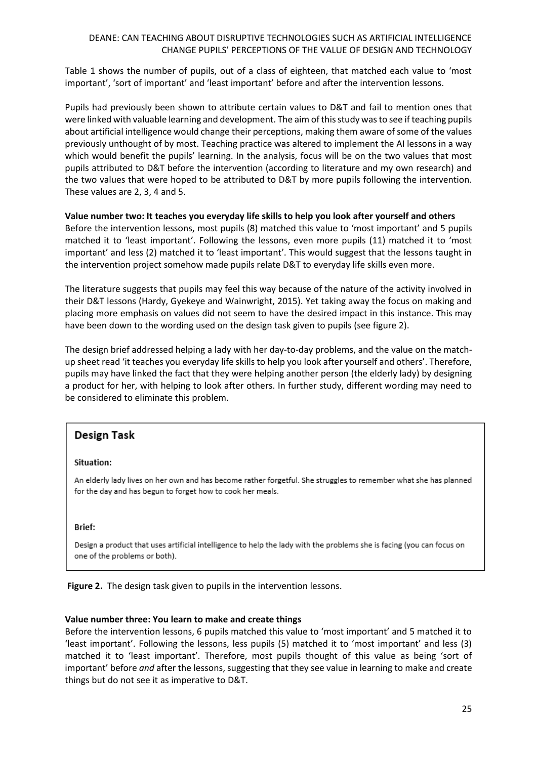Table 1 shows the number of pupils, out of a class of eighteen, that matched each value to 'most important', 'sort of important' and 'least important' before and after the intervention lessons.

Pupils had previously been shown to attribute certain values to D&T and fail to mention ones that were linked with valuable learning and development. The aim of this study was to see if teaching pupils about artificial intelligence would change their perceptions, making them aware of some of the values previously unthought of by most. Teaching practice was altered to implement the AI lessons in a way which would benefit the pupils' learning. In the analysis, focus will be on the two values that most pupils attributed to D&T before the intervention (according to literature and my own research) and the two values that were hoped to be attributed to D&T by more pupils following the intervention. These values are 2, 3, 4 and 5.

## **Value number two: It teaches you everyday life skills to help you look after yourself and others**

Before the intervention lessons, most pupils (8) matched this value to 'most important' and 5 pupils matched it to 'least important'. Following the lessons, even more pupils (11) matched it to 'most important' and less (2) matched it to 'least important'. This would suggest that the lessons taught in the intervention project somehow made pupils relate D&T to everyday life skills even more.

The literature suggests that pupils may feel this way because of the nature of the activity involved in their D&T lessons (Hardy, Gyekeye and Wainwright, 2015). Yet taking away the focus on making and placing more emphasis on values did not seem to have the desired impact in this instance. This may have been down to the wording used on the design task given to pupils (see figure 2).

The design brief addressed helping a lady with her day-to-day problems, and the value on the matchup sheet read 'it teaches you everyday life skills to help you look after yourself and others'. Therefore, pupils may have linked the fact that they were helping another person (the elderly lady) by designing a product for her, with helping to look after others. In further study, different wording may need to be considered to eliminate this problem.

# **Design Task**

#### Situation:

An elderly lady lives on her own and has become rather forgetful. She struggles to remember what she has planned for the day and has begun to forget how to cook her meals.

#### **Brief:**

Design a product that uses artificial intelligence to help the lady with the problems she is facing (you can focus on one of the problems or both).

**Figure 2.** The design task given to pupils in the intervention lessons.

## **Value number three: You learn to make and create things**

Before the intervention lessons, 6 pupils matched this value to 'most important' and 5 matched it to 'least important'. Following the lessons, less pupils (5) matched it to 'most important' and less (3) matched it to 'least important'. Therefore, most pupils thought of this value as being 'sort of important' before *and* after the lessons, suggesting that they see value in learning to make and create things but do not see it as imperative to D&T.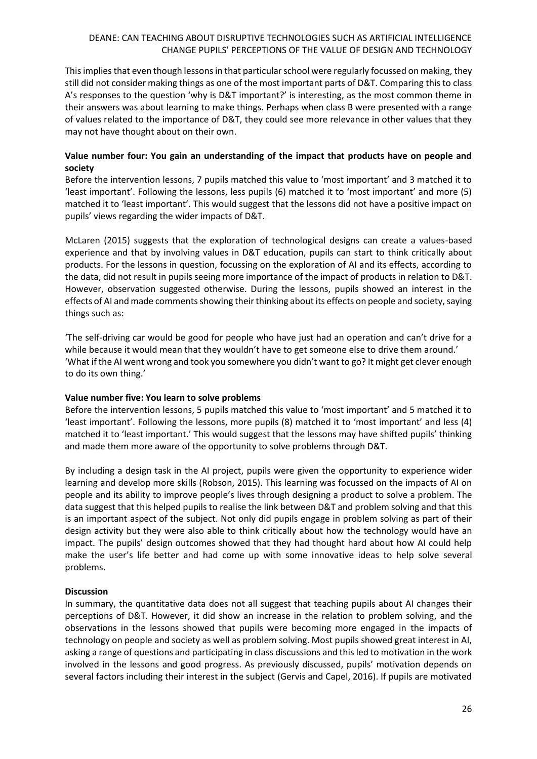This implies that even though lessons in that particular school were regularly focussed on making, they still did not consider making things as one of the most important parts of D&T. Comparing this to class A's responses to the question 'why is D&T important?' is interesting, as the most common theme in their answers was about learning to make things. Perhaps when class B were presented with a range of values related to the importance of D&T, they could see more relevance in other values that they may not have thought about on their own.

# **Value number four: You gain an understanding of the impact that products have on people and society**

Before the intervention lessons, 7 pupils matched this value to 'most important' and 3 matched it to 'least important'. Following the lessons, less pupils (6) matched it to 'most important' and more (5) matched it to 'least important'. This would suggest that the lessons did not have a positive impact on pupils' views regarding the wider impacts of D&T.

McLaren (2015) suggests that the exploration of technological designs can create a values-based experience and that by involving values in D&T education, pupils can start to think critically about products. For the lessons in question, focussing on the exploration of AI and its effects, according to the data, did not result in pupils seeing more importance of the impact of products in relation to D&T. However, observation suggested otherwise. During the lessons, pupils showed an interest in the effects of AI and made comments showing their thinking about its effects on people and society, saying things such as:

'The self-driving car would be good for people who have just had an operation and can't drive for a while because it would mean that they wouldn't have to get someone else to drive them around.' 'What if the AI went wrong and took you somewhere you didn't want to go? It might get clever enough to do its own thing.'

## **Value number five: You learn to solve problems**

Before the intervention lessons, 5 pupils matched this value to 'most important' and 5 matched it to 'least important'. Following the lessons, more pupils (8) matched it to 'most important' and less (4) matched it to 'least important.' This would suggest that the lessons may have shifted pupils' thinking and made them more aware of the opportunity to solve problems through D&T.

By including a design task in the AI project, pupils were given the opportunity to experience wider learning and develop more skills (Robson, 2015). This learning was focussed on the impacts of AI on people and its ability to improve people's lives through designing a product to solve a problem. The data suggest that this helped pupils to realise the link between D&T and problem solving and that this is an important aspect of the subject. Not only did pupils engage in problem solving as part of their design activity but they were also able to think critically about how the technology would have an impact. The pupils' design outcomes showed that they had thought hard about how AI could help make the user's life better and had come up with some innovative ideas to help solve several problems.

# **Discussion**

In summary, the quantitative data does not all suggest that teaching pupils about AI changes their perceptions of D&T. However, it did show an increase in the relation to problem solving, and the observations in the lessons showed that pupils were becoming more engaged in the impacts of technology on people and society as well as problem solving. Most pupils showed great interest in AI, asking a range of questions and participating in class discussions and this led to motivation in the work involved in the lessons and good progress. As previously discussed, pupils' motivation depends on several factors including their interest in the subject (Gervis and Capel, 2016). If pupils are motivated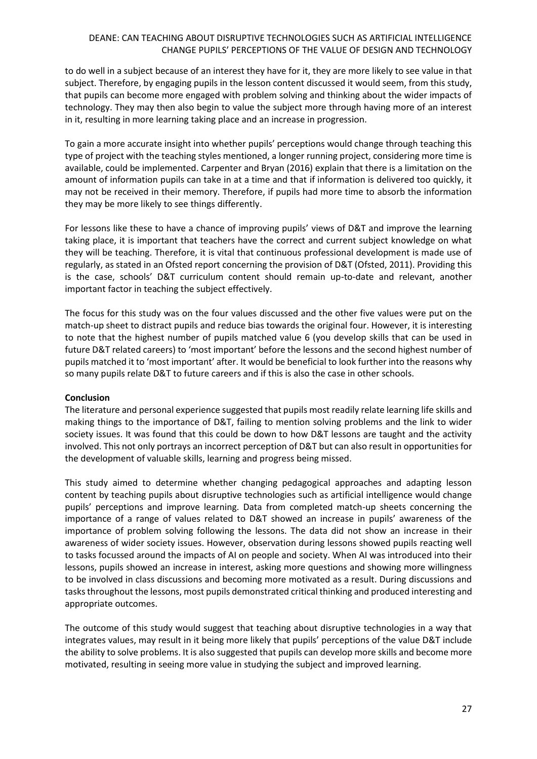to do well in a subject because of an interest they have for it, they are more likely to see value in that subject. Therefore, by engaging pupils in the lesson content discussed it would seem, from this study, that pupils can become more engaged with problem solving and thinking about the wider impacts of technology. They may then also begin to value the subject more through having more of an interest in it, resulting in more learning taking place and an increase in progression.

To gain a more accurate insight into whether pupils' perceptions would change through teaching this type of project with the teaching styles mentioned, a longer running project, considering more time is available, could be implemented. Carpenter and Bryan (2016) explain that there is a limitation on the amount of information pupils can take in at a time and that if information is delivered too quickly, it may not be received in their memory. Therefore, if pupils had more time to absorb the information they may be more likely to see things differently.

For lessons like these to have a chance of improving pupils' views of D&T and improve the learning taking place, it is important that teachers have the correct and current subject knowledge on what they will be teaching. Therefore, it is vital that continuous professional development is made use of regularly, as stated in an Ofsted report concerning the provision of D&T (Ofsted, 2011). Providing this is the case, schools' D&T curriculum content should remain up-to-date and relevant, another important factor in teaching the subject effectively.

The focus for this study was on the four values discussed and the other five values were put on the match-up sheet to distract pupils and reduce bias towards the original four. However, it is interesting to note that the highest number of pupils matched value 6 (you develop skills that can be used in future D&T related careers) to 'most important' before the lessons and the second highest number of pupils matched it to 'most important' after. It would be beneficial to look further into the reasons why so many pupils relate D&T to future careers and if this is also the case in other schools.

## **Conclusion**

The literature and personal experience suggested that pupils most readily relate learning life skills and making things to the importance of D&T, failing to mention solving problems and the link to wider society issues. It was found that this could be down to how D&T lessons are taught and the activity involved. This not only portrays an incorrect perception of D&T but can also result in opportunities for the development of valuable skills, learning and progress being missed.

This study aimed to determine whether changing pedagogical approaches and adapting lesson content by teaching pupils about disruptive technologies such as artificial intelligence would change pupils' perceptions and improve learning. Data from completed match-up sheets concerning the importance of a range of values related to D&T showed an increase in pupils' awareness of the importance of problem solving following the lessons. The data did not show an increase in their awareness of wider society issues. However, observation during lessons showed pupils reacting well to tasks focussed around the impacts of AI on people and society. When AI was introduced into their lessons, pupils showed an increase in interest, asking more questions and showing more willingness to be involved in class discussions and becoming more motivated as a result. During discussions and tasks throughout the lessons, most pupils demonstrated critical thinking and produced interesting and appropriate outcomes.

The outcome of this study would suggest that teaching about disruptive technologies in a way that integrates values, may result in it being more likely that pupils' perceptions of the value D&T include the ability to solve problems. It is also suggested that pupils can develop more skills and become more motivated, resulting in seeing more value in studying the subject and improved learning.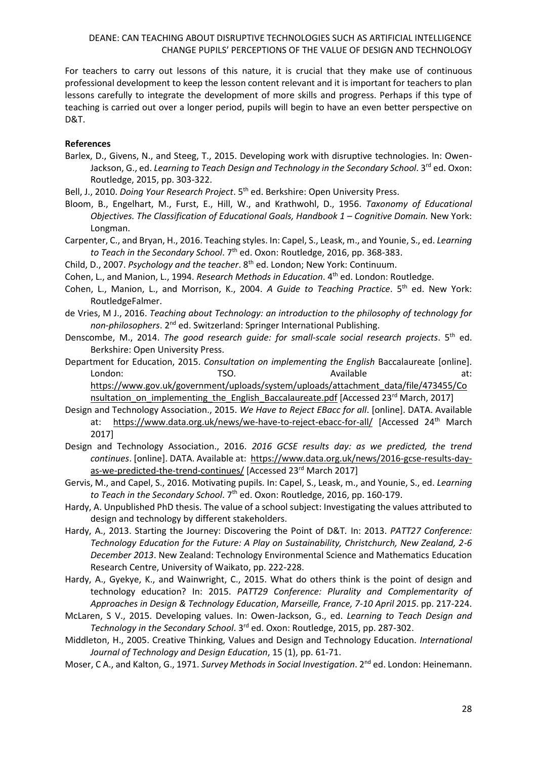For teachers to carry out lessons of this nature, it is crucial that they make use of continuous professional development to keep the lesson content relevant and it is important for teachers to plan lessons carefully to integrate the development of more skills and progress. Perhaps if this type of teaching is carried out over a longer period, pupils will begin to have an even better perspective on D&T.

### **References**

- Barlex, D., Givens, N., and Steeg, T., 2015. Developing work with disruptive technologies. In: Owen-Jackson, G., ed. *Learning to Teach Design and Technology in the Secondary School*. 3<sup>rd</sup> ed. Oxon: Routledge, 2015, pp. 303-322.
- Bell, J., 2010. *Doing Your Research Project*. 5th ed. Berkshire: Open University Press.
- Bloom, B., Engelhart, M., Furst, E., Hill, W., and Krathwohl, D., 1956. *Taxonomy of Educational Objectives. The Classification of Educational Goals, Handbook 1 – Cognitive Domain. New York:* Longman.
- Carpenter, C., and Bryan, H., 2016. Teaching styles. In: Capel, S., Leask, m., and Younie, S., ed. *Learning*  to Teach in the Secondary School. 7<sup>th</sup> ed. Oxon: Routledge, 2016, pp. 368-383.
- Child, D., 2007. *Psychology and the teacher*. 8<sup>th</sup> ed. London; New York: Continuum.
- Cohen, L., and Manion, L., 1994. *Research Methods in Education*. 4th ed. London: Routledge.
- Cohen, L., Manion, L., and Morrison, K., 2004. *A Guide to Teaching Practice*. 5<sup>th</sup> ed. New York: RoutledgeFalmer.
- de Vries, M J., 2016. *Teaching about Technology: an introduction to the philosophy of technology for non-philosophers*. 2nd ed. Switzerland: Springer International Publishing.
- Denscombe, M., 2014. *The good research guide: for small-scale social research projects*. 5th ed. Berkshire: Open University Press.
- Department for Education, 2015. *Consultation on implementing the English* Baccalaureate [online]. London: TSO. TEO. Available at: [https://www.gov.uk/government/uploads/system/uploads/attachment\\_data/file/473455/Co](https://www.gov.uk/government/uploads/system/uploads/attachment_data/file/473455/Consultation_on_implementing_the_English_Baccalaureate.pdf) nsultation on implementing the English Baccalaureate.pdf [Accessed 23<sup>rd</sup> March, 2017]
- Design and Technology Association., 2015. *We Have to Reject EBacc for all*. [online]. DATA. Available at: <https://www.data.org.uk/news/we-have-to-reject-ebacc-for-all/> [Accessed 24th March 2017]
- Design and Technology Association., 2016. *2016 GCSE results day: as we predicted, the trend continues*. [online]. DATA. Available at: [https://www.data.org.uk/news/2016-gcse-results-day](https://www.data.org.uk/news/2016-gcse-results-day-as-we-predicted-the-trend-continues/)[as-we-predicted-the-trend-continues/](https://www.data.org.uk/news/2016-gcse-results-day-as-we-predicted-the-trend-continues/) [Accessed 23<sup>rd</sup> March 2017]
- Gervis, M., and Capel, S., 2016. Motivating pupils. In: Capel, S., Leask, m., and Younie, S., ed. *Learning*  to Teach in the Secondary School. 7<sup>th</sup> ed. Oxon: Routledge, 2016, pp. 160-179.
- Hardy, A. Unpublished PhD thesis. The value of a school subject: Investigating the values attributed to design and technology by different stakeholders.
- Hardy, A., 2013. Starting the Journey: Discovering the Point of D&T*.* In: 2013. *PATT27 Conference: Technology Education for the Future: A Play on Sustainability, Christchurch, New Zealand, 2-6 December 2013*. New Zealand: Technology Environmental Science and Mathematics Education Research Centre, University of Waikato, pp. 222-228.
- Hardy, A., Gyekye, K., and Wainwright, C., 2015. What do others think is the point of design and technology education? In: 2015. *PATT29 Conference: Plurality and Complementarity of Approaches in Design & Technology Education*, *Marseille, France, 7-10 April 2015*. pp. 217-224.
- McLaren, S V., 2015. Developing values. In: Owen-Jackson, G., ed. *Learning to Teach Design and Technology in the Secondary School*. 3rd ed. Oxon: Routledge, 2015, pp. 287-302.
- Middleton, H., 2005. Creative Thinking, Values and Design and Technology Education. *International Journal of Technology and Design Education*, 15 (1), pp. 61-71.
- Moser, C A., and Kalton, G., 1971. *Survey Methods in Social Investigation*. 2<sup>nd</sup> ed. London: Heinemann.